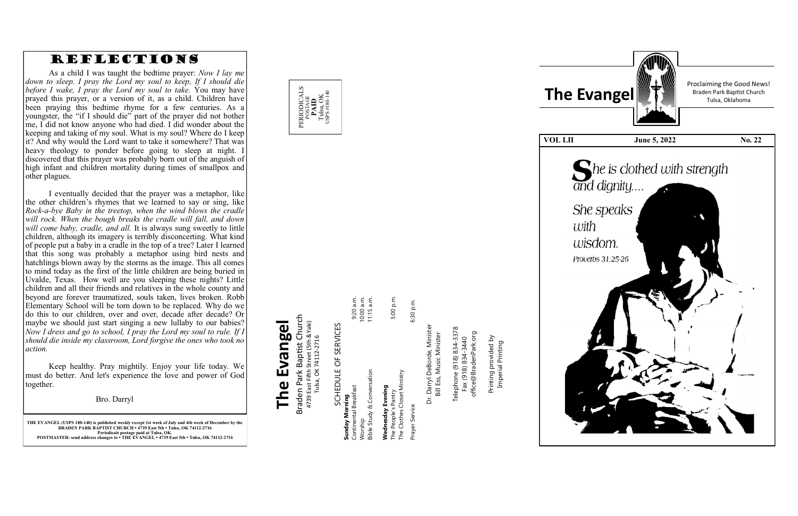**THE EVANGEL (USPS 180 -140) is published weekly except 1st week of July and 4th week of December by the BRADEN PARK BAPTIST CHURCH • 4739 East 5th • Tulsa, OK 74112 -2716 Periodicals postage paid at Tulsa, OK. POSTMASTER: send address changes to • THE EVANGEL • 4739 East 5th • Tulsa, OK 74112 -2716**

# Braden Park Baptist Church<br>4739 East Fifth Street (5th &Yale)<br>Tulsa, OK 74112-2716 Braden Park Baptist Church 4739 East Fifth Street (5th &Yale) Tulsa, OK 74112-2716

# The People's Pantry 5:00 p.m. Prayer Service 6:30 p.m. The People's Pantry<br>The Clothes Closet Ministry The Clothes Closet Ministry Prayer Service

Dr. Darryl DeBorde, Minister Dr. Darryl DeBorde, Minister<br>Bill Ess, Music Minister



6:30 p.m.

**The Evangel**

The Evangel

Telephone (918) 834-3378<br>Fax (918) 834-3440 office@BradenPark.org office@BradenPark.org Fax (918) 834-3440

| SCHEDULE OF SERVICES       |            |
|----------------------------|------------|
| Sunday Morning             |            |
| Continental Breakfast      | 9:20 a.m.  |
| Worship                    | 10:00 a.m. |
| Bible Study & Conversation | 11:15 a.m. |
| Wednesday Evening          |            |
| The People's Pantry        | 5:00 p.m.  |

Bill Ess, Music Minister Telephone (918) 834-3378

Printing provided by Printing provided by<br>Imperial Printing Imperial Printing

Proclaiming the Good News!

**VOL LII** June 5, 2022 No. 22









### REFLECTIONS

As a child I was taught the bedtime prayer: *Now I lay me down to sleep. I pray the Lord my soul to keep, If I should die before I wake, I pray the Lord my soul to take.* You may have prayed this prayer, or a version of it, as a child. Children have been praying this bedtime rhyme for a few centuries. As a youngster, the "if I should die" part of the prayer did not bother me, I did not know anyone who had died. I did wonder about the keeping and taking of my soul. What is my soul? Where do I keep it? And why would the Lord want to take it somewhere? That was heavy theology to ponder before going to sleep at night. I discovered that this prayer was probably born out of the anguish of high infant and children mortality during times of smallpox and other plagues.

I eventually decided that the prayer was a metaphor, like the other children 's rhymes that we learned to say or sing, like *Rock-a -bye Baby in the treetop, when the wind blows the cradle will rock. When the bough breaks the cradle will fall, and down will come baby, cradle, and all.* It is always sung sweetly to little children, although its imagery is terribly disconcerting. What kind of people put a baby in a cradle in the top of a tree? Later I learned that this song was probably a metaphor using bird nests and hatchlings blown away by the storms as the image. This all comes to mind today as the first of the little children are being buried in Uvalde, Texas. How well are you sleeping these nights? Little children and all their friends and relatives in the whole county and beyond are forever traumatized, souls taken, lives broken. Robb Elementary School will be torn down to be replaced. Why do we do this to our children, over and over, decade after decade? Or maybe we should just start singing a new lullaby to our babies? *Now I dress and go to school, I pray the Lord my soul to rule. If I should die inside my classroom, Lord forgive the ones who took no action.*

Keep healthy. Pray mightily. Enjoy your life today. We must do better. And let's experience the love and power of God together.

Bro. Darryl